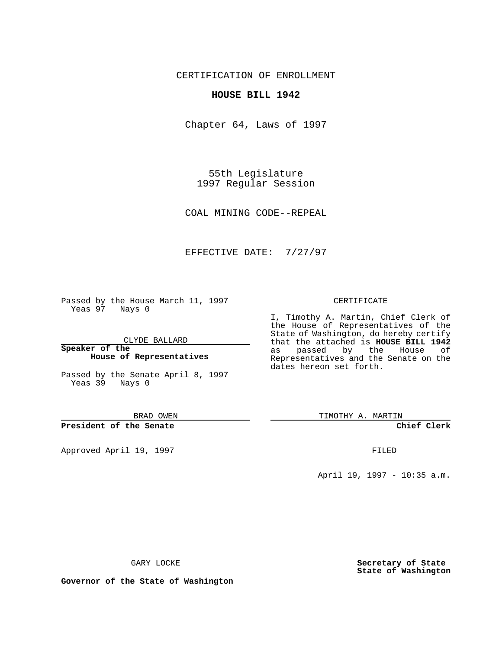CERTIFICATION OF ENROLLMENT

## **HOUSE BILL 1942**

Chapter 64, Laws of 1997

55th Legislature 1997 Regular Session

COAL MINING CODE--REPEAL

## EFFECTIVE DATE: 7/27/97

Passed by the House March 11, 1997 Yeas 97 Nays 0

CLYDE BALLARD

**Speaker of the House of Representatives**

Passed by the Senate April 8, 1997 Yeas 39 Nays 0

BRAD OWEN

**President of the Senate**

Approved April 19, 1997 **FILED** 

## CERTIFICATE

I, Timothy A. Martin, Chief Clerk of the House of Representatives of the State of Washington, do hereby certify that the attached is **HOUSE BILL 1942** as passed by the Representatives and the Senate on the dates hereon set forth.

TIMOTHY A. MARTIN

**Chief Clerk**

April 19, 1997 - 10:35 a.m.

GARY LOCKE

**Secretary of State State of Washington**

**Governor of the State of Washington**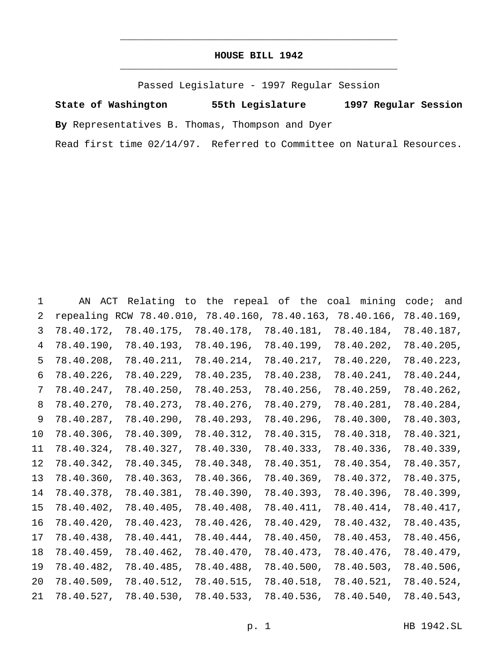## **HOUSE BILL 1942** \_\_\_\_\_\_\_\_\_\_\_\_\_\_\_\_\_\_\_\_\_\_\_\_\_\_\_\_\_\_\_\_\_\_\_\_\_\_\_\_\_\_\_\_\_\_\_

\_\_\_\_\_\_\_\_\_\_\_\_\_\_\_\_\_\_\_\_\_\_\_\_\_\_\_\_\_\_\_\_\_\_\_\_\_\_\_\_\_\_\_\_\_\_\_

Passed Legislature - 1997 Regular Session

**State of Washington 55th Legislature 1997 Regular Session**

**By** Representatives B. Thomas, Thompson and Dyer

Read first time 02/14/97. Referred to Committee on Natural Resources.

 AN ACT Relating to the repeal of the coal mining code; and repealing RCW 78.40.010, 78.40.160, 78.40.163, 78.40.166, 78.40.169, 78.40.172, 78.40.175, 78.40.178, 78.40.181, 78.40.184, 78.40.187, 78.40.190, 78.40.193, 78.40.196, 78.40.199, 78.40.202, 78.40.205, 78.40.208, 78.40.211, 78.40.214, 78.40.217, 78.40.220, 78.40.223, 78.40.226, 78.40.229, 78.40.235, 78.40.238, 78.40.241, 78.40.244, 78.40.247, 78.40.250, 78.40.253, 78.40.256, 78.40.259, 78.40.262, 78.40.270, 78.40.273, 78.40.276, 78.40.279, 78.40.281, 78.40.284, 78.40.287, 78.40.290, 78.40.293, 78.40.296, 78.40.300, 78.40.303, 78.40.306, 78.40.309, 78.40.312, 78.40.315, 78.40.318, 78.40.321, 78.40.324, 78.40.327, 78.40.330, 78.40.333, 78.40.336, 78.40.339, 78.40.342, 78.40.345, 78.40.348, 78.40.351, 78.40.354, 78.40.357, 78.40.360, 78.40.363, 78.40.366, 78.40.369, 78.40.372, 78.40.375, 78.40.378, 78.40.381, 78.40.390, 78.40.393, 78.40.396, 78.40.399, 78.40.402, 78.40.405, 78.40.408, 78.40.411, 78.40.414, 78.40.417, 78.40.420, 78.40.423, 78.40.426, 78.40.429, 78.40.432, 78.40.435, 78.40.438, 78.40.441, 78.40.444, 78.40.450, 78.40.453, 78.40.456, 78.40.459, 78.40.462, 78.40.470, 78.40.473, 78.40.476, 78.40.479, 78.40.482, 78.40.485, 78.40.488, 78.40.500, 78.40.503, 78.40.506, 78.40.509, 78.40.512, 78.40.515, 78.40.518, 78.40.521, 78.40.524, 78.40.527, 78.40.530, 78.40.533, 78.40.536, 78.40.540, 78.40.543,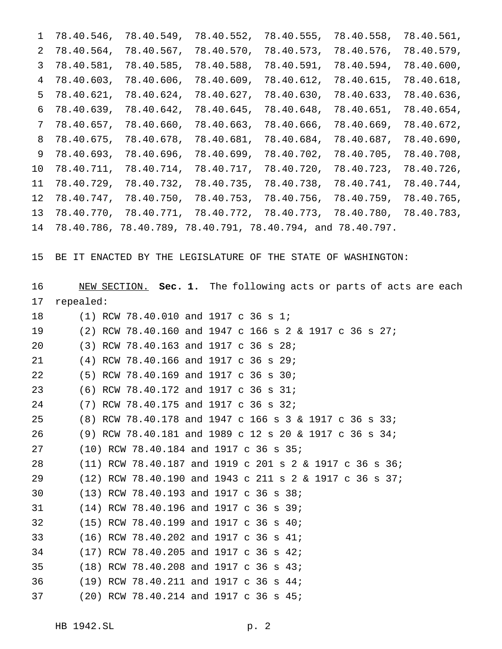|    | $1 \quad 78.40.546,$ | 78.40.549, | 78.40.552,                                                    | 78.40.555, | 78.40.558, | 78.40.561, |
|----|----------------------|------------|---------------------------------------------------------------|------------|------------|------------|
|    | $2 \quad 78.40.564,$ | 78.40.567, | 78.40.570,                                                    | 78.40.573, | 78.40.576, | 78.40.579, |
|    | 3 78.40.581,         | 78.40.585, | 78.40.588,                                                    | 78.40.591, | 78.40.594, | 78.40.600, |
|    | 4 78.40.603,         | 78.40.606, | 78.40.609,                                                    | 78.40.612, | 78.40.615, | 78.40.618, |
|    | $5\quad 78.40.621,$  | 78.40.624, | 78.40.627,                                                    | 78.40.630, | 78.40.633, | 78.40.636, |
| 6  | 78.40.639,           | 78.40.642, | 78.40.645,                                                    | 78.40.648, | 78.40.651, | 78.40.654, |
|    | 7, 78.40.657,        | 78.40.660, | 78.40.663,                                                    | 78.40.666, | 78.40.669, | 78.40.672, |
|    | 8 78.40.675,         | 78.40.678, | 78.40.681,                                                    | 78.40.684, | 78.40.687, | 78.40.690, |
| 9  | 78.40.693,           | 78.40.696, | 78.40.699,                                                    | 78.40.702, | 78.40.705, | 78.40.708, |
| 10 | 78.40.711,           | 78.40.714, | 78.40.717,                                                    | 78.40.720, | 78.40.723, | 78.40.726, |
| 11 | 78.40.729,           |            | 78.40.732, 78.40.735,                                         | 78.40.738, | 78.40.741, | 78.40.744, |
| 12 | 78.40.747,           |            | 78.40.750, 78.40.753, 78.40.756,                              |            | 78.40.759, | 78.40.765, |
| 13 |                      |            | $78.40.770, 78.40.771, 78.40.772, 78.40.773, 78.40.780,$      |            |            | 78.40.783, |
|    |                      |            | 14 78.40.786, 78.40.789, 78.40.791, 78.40.794, and 78.40.797. |            |            |            |

BE IT ENACTED BY THE LEGISLATURE OF THE STATE OF WASHINGTON:

| 16 | NEW SECTION. Sec. 1. The following acts or parts of acts are each |
|----|-------------------------------------------------------------------|
| 17 | repealed:                                                         |
| 18 | $(1)$ RCW 78.40.010 and 1917 c 36 s 1;                            |
| 19 | (2) RCW 78.40.160 and 1947 c 166 s 2 & 1917 c 36 s 27;            |
| 20 | (3) RCW 78.40.163 and 1917 c 36 s 28;                             |
| 21 | (4) RCW 78.40.166 and 1917 c 36 s 29;                             |
| 22 | $(5)$ RCW 78.40.169 and 1917 c 36 s 30;                           |
| 23 | (6) RCW 78.40.172 and 1917 c 36 s 31;                             |
| 24 | $(7)$ RCW 78.40.175 and 1917 c 36 s 32;                           |
| 25 | (8) RCW 78.40.178 and 1947 c 166 s 3 & 1917 c 36 s 33;            |
| 26 | (9) RCW 78.40.181 and 1989 c 12 s 20 & 1917 c 36 s 34;            |
| 27 | (10) RCW 78.40.184 and 1917 c 36 s 35;                            |
| 28 | $(11)$ RCW 78.40.187 and 1919 c 201 s 2 & 1917 c 36 s 36;         |
| 29 | $(12)$ RCW 78.40.190 and 1943 c 211 s 2 & 1917 c 36 s 37;         |
| 30 | (13) RCW 78.40.193 and 1917 c 36 s 38;                            |
| 31 | (14) RCW 78.40.196 and 1917 c 36 s 39;                            |
| 32 | (15) RCW 78.40.199 and 1917 c 36 s 40;                            |
| 33 | $(16)$ RCW 78.40.202 and 1917 c 36 s 41;                          |
| 34 | $(17)$ RCW 78.40.205 and 1917 c 36 s 42;                          |
| 35 | $(18)$ RCW 78.40.208 and 1917 c 36 s 43;                          |
| 36 | (19) RCW 78.40.211 and 1917 c 36 s 44;                            |
| 37 | (20) RCW 78.40.214 and 1917 c 36 s 45;                            |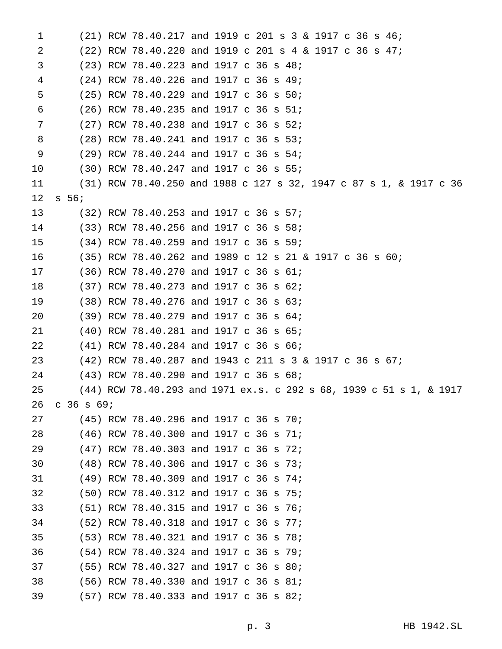| 1  |              | $(21)$ RCW 78.40.217 and 1919 c 201 s 3 & 1917 c 36 s 46;           |  |  |  |  |  |  |  |
|----|--------------|---------------------------------------------------------------------|--|--|--|--|--|--|--|
| 2  |              | $(22)$ RCW 78.40.220 and 1919 c 201 s 4 & 1917 c 36 s 47;           |  |  |  |  |  |  |  |
| 3  |              | $(23)$ RCW 78.40.223 and 1917 c 36 s 48;                            |  |  |  |  |  |  |  |
| 4  |              | (24) RCW 78.40.226 and 1917 c 36 s 49;                              |  |  |  |  |  |  |  |
| 5  |              | $(25)$ RCW 78.40.229 and 1917 c 36 s 50;                            |  |  |  |  |  |  |  |
| 6  |              | $(26)$ RCW 78.40.235 and 1917 c 36 s 51;                            |  |  |  |  |  |  |  |
| 7  |              | $(27)$ RCW 78.40.238 and 1917 c 36 s 52;                            |  |  |  |  |  |  |  |
| 8  |              | $(28)$ RCW 78.40.241 and 1917 c 36 s 53;                            |  |  |  |  |  |  |  |
| 9  |              | $(29)$ RCW 78.40.244 and 1917 c 36 s 54;                            |  |  |  |  |  |  |  |
| 10 |              | $(30)$ RCW 78.40.247 and 1917 c 36 s 55;                            |  |  |  |  |  |  |  |
| 11 |              | (31) RCW 78.40.250 and 1988 c 127 s 32, 1947 c 87 s 1, & 1917 c 36  |  |  |  |  |  |  |  |
| 12 | $s\,56;$     |                                                                     |  |  |  |  |  |  |  |
| 13 |              | (32) RCW 78.40.253 and 1917 c 36 s 57;                              |  |  |  |  |  |  |  |
| 14 |              | (33) RCW 78.40.256 and 1917 c 36 s 58;                              |  |  |  |  |  |  |  |
| 15 |              | (34) RCW 78.40.259 and 1917 c 36 s 59;                              |  |  |  |  |  |  |  |
| 16 |              | (35) RCW 78.40.262 and 1989 c 12 s 21 & 1917 c 36 s 60;             |  |  |  |  |  |  |  |
| 17 |              | $(36)$ RCW 78.40.270 and 1917 c 36 s 61;                            |  |  |  |  |  |  |  |
| 18 |              | (37) RCW 78.40.273 and 1917 c 36 s 62;                              |  |  |  |  |  |  |  |
| 19 |              | $(38)$ RCW 78.40.276 and 1917 c 36 s 63;                            |  |  |  |  |  |  |  |
| 20 |              | (39) RCW 78.40.279 and 1917 c 36 s 64;                              |  |  |  |  |  |  |  |
| 21 |              | $(40)$ RCW 78.40.281 and 1917 c 36 s 65;                            |  |  |  |  |  |  |  |
| 22 |              | $(41)$ RCW 78.40.284 and 1917 c 36 s 66;                            |  |  |  |  |  |  |  |
| 23 |              | $(42)$ RCW 78.40.287 and 1943 c 211 s 3 & 1917 c 36 s 67;           |  |  |  |  |  |  |  |
| 24 |              | $(43)$ RCW 78.40.290 and 1917 c 36 s 68;                            |  |  |  |  |  |  |  |
| 25 |              | (44) RCW 78.40.293 and 1971 ex.s. c 292 s 68, 1939 c 51 s 1, & 1917 |  |  |  |  |  |  |  |
| 26 | $C$ 36 s 69; |                                                                     |  |  |  |  |  |  |  |
| 27 |              | $(45)$ RCW 78.40.296 and 1917 c 36 s 70;                            |  |  |  |  |  |  |  |
| 28 |              | (46) RCW 78.40.300 and 1917 c 36 s 71;                              |  |  |  |  |  |  |  |
| 29 |              | (47) RCW 78.40.303 and 1917 c 36 s 72;                              |  |  |  |  |  |  |  |
| 30 |              | (48) RCW 78.40.306 and 1917 c 36 s 73;                              |  |  |  |  |  |  |  |
| 31 |              | (49) RCW 78.40.309 and 1917 c 36 s 74;                              |  |  |  |  |  |  |  |
| 32 |              | (50) RCW 78.40.312 and 1917 c 36 s 75;                              |  |  |  |  |  |  |  |
| 33 |              | (51) RCW 78.40.315 and 1917 c 36 s 76;                              |  |  |  |  |  |  |  |
| 34 |              | (52) RCW 78.40.318 and 1917 c 36 s 77;                              |  |  |  |  |  |  |  |
| 35 |              | (53) RCW 78.40.321 and 1917 c 36 s 78;                              |  |  |  |  |  |  |  |
| 36 |              | (54) RCW 78.40.324 and 1917 c 36 s 79;                              |  |  |  |  |  |  |  |
| 37 |              | (55) RCW 78.40.327 and 1917 c 36 s 80;                              |  |  |  |  |  |  |  |
| 38 |              | (56) RCW 78.40.330 and 1917 c 36 s 81;                              |  |  |  |  |  |  |  |
| 39 |              | (57) RCW 78.40.333 and 1917 c 36 s 82;                              |  |  |  |  |  |  |  |
|    |              |                                                                     |  |  |  |  |  |  |  |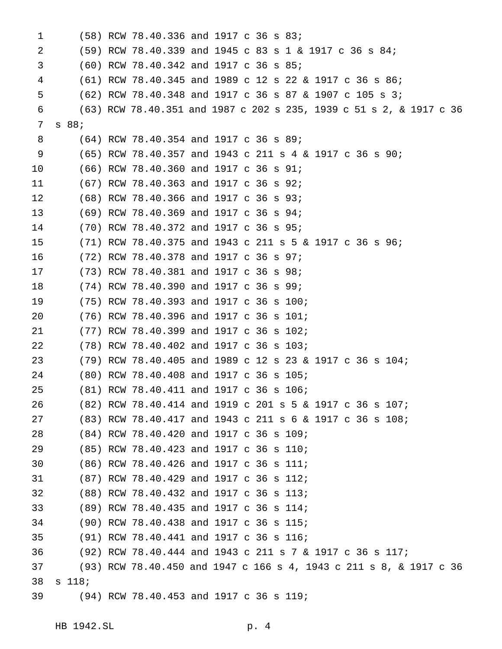| 1  |          | (58) RCW 78.40.336 and 1917 c 36 s 83;                              |  |  |  |  |  |  |  |
|----|----------|---------------------------------------------------------------------|--|--|--|--|--|--|--|
| 2  |          | $(59)$ RCW 78.40.339 and 1945 c 83 s 1 & 1917 c 36 s 84;            |  |  |  |  |  |  |  |
| 3  |          | (60) RCW 78.40.342 and 1917 c 36 s 85;                              |  |  |  |  |  |  |  |
| 4  |          | $(61)$ RCW 78.40.345 and 1989 c 12 s 22 & 1917 c 36 s 86;           |  |  |  |  |  |  |  |
| 5  |          | $(62)$ RCW 78.40.348 and 1917 c 36 s 87 & 1907 c 105 s 3;           |  |  |  |  |  |  |  |
| 6  |          | (63) RCW 78.40.351 and 1987 c 202 s 235, 1939 c 51 s 2, & 1917 c 36 |  |  |  |  |  |  |  |
| 7  | s 88;    |                                                                     |  |  |  |  |  |  |  |
| 8  |          | $(64)$ RCW 78.40.354 and 1917 c 36 s 89;                            |  |  |  |  |  |  |  |
| 9  |          | (65) RCW 78.40.357 and 1943 c 211 s 4 & 1917 c 36 s 90;             |  |  |  |  |  |  |  |
| 10 |          | $(66)$ RCW 78.40.360 and 1917 c 36 s 91;                            |  |  |  |  |  |  |  |
| 11 |          | (67) RCW 78.40.363 and 1917 c 36 s 92;                              |  |  |  |  |  |  |  |
| 12 |          | (68) RCW 78.40.366 and 1917 c 36 s 93;                              |  |  |  |  |  |  |  |
| 13 |          | (69) RCW 78.40.369 and 1917 c 36 s 94;                              |  |  |  |  |  |  |  |
| 14 |          | (70) RCW 78.40.372 and 1917 c 36 s 95;                              |  |  |  |  |  |  |  |
| 15 |          | $(71)$ RCW 78.40.375 and 1943 c 211 s 5 & 1917 c 36 s 96;           |  |  |  |  |  |  |  |
| 16 |          | (72) RCW 78.40.378 and 1917 c 36 s 97;                              |  |  |  |  |  |  |  |
| 17 |          | (73) RCW 78.40.381 and 1917 c 36 s 98;                              |  |  |  |  |  |  |  |
| 18 |          | (74) RCW 78.40.390 and 1917 c 36 s 99;                              |  |  |  |  |  |  |  |
| 19 |          | (75) RCW 78.40.393 and 1917 c 36 s 100;                             |  |  |  |  |  |  |  |
| 20 |          | (76) RCW 78.40.396 and 1917 c 36 s 101;                             |  |  |  |  |  |  |  |
| 21 |          | $(77)$ RCW 78.40.399 and 1917 c 36 s 102;                           |  |  |  |  |  |  |  |
| 22 |          | (78) RCW 78.40.402 and 1917 c 36 s 103;                             |  |  |  |  |  |  |  |
| 23 |          | $(79)$ RCW 78.40.405 and 1989 c 12 s 23 & 1917 c 36 s 104;          |  |  |  |  |  |  |  |
| 24 |          | (80) RCW 78.40.408 and 1917 c 36 s 105;                             |  |  |  |  |  |  |  |
| 25 |          | (81) RCW 78.40.411 and 1917 c 36 s 106;                             |  |  |  |  |  |  |  |
| 26 |          | (82) RCW 78.40.414 and 1919 c 201 s 5 & 1917 c 36 s 107;            |  |  |  |  |  |  |  |
| 27 |          | $(83)$ RCW 78.40.417 and 1943 c 211 s 6 & 1917 c 36 s 108;          |  |  |  |  |  |  |  |
| 28 |          | (84) RCW 78.40.420 and 1917 c 36 s 109;                             |  |  |  |  |  |  |  |
| 29 |          | (85) RCW 78.40.423 and 1917 c 36 s 110;                             |  |  |  |  |  |  |  |
| 30 |          | (86) RCW 78.40.426 and 1917 c 36 s 111;                             |  |  |  |  |  |  |  |
| 31 |          | (87) RCW 78.40.429 and 1917 c 36 s 112;                             |  |  |  |  |  |  |  |
| 32 |          | (88) RCW 78.40.432 and 1917 c 36 s 113;                             |  |  |  |  |  |  |  |
| 33 |          | (89) RCW 78.40.435 and 1917 c 36 s 114;                             |  |  |  |  |  |  |  |
| 34 |          | (90) RCW 78.40.438 and 1917 c 36 s 115;                             |  |  |  |  |  |  |  |
| 35 |          | (91) RCW 78.40.441 and 1917 c 36 s 116;                             |  |  |  |  |  |  |  |
| 36 |          | (92) RCW 78.40.444 and 1943 c 211 s 7 & 1917 c 36 s 117;            |  |  |  |  |  |  |  |
| 37 |          | (93) RCW 78.40.450 and 1947 c 166 s 4, 1943 c 211 s 8, & 1917 c 36  |  |  |  |  |  |  |  |
| 38 | $s$ 118; |                                                                     |  |  |  |  |  |  |  |
| 39 |          | (94) RCW 78.40.453 and 1917 c 36 s 119;                             |  |  |  |  |  |  |  |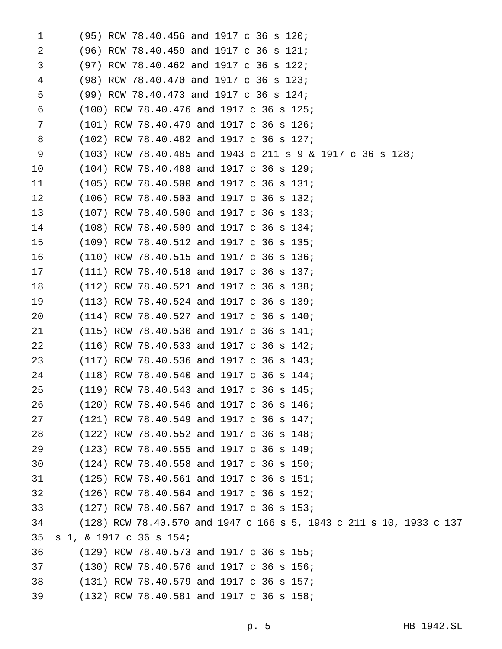| 1  |                         | (95) RCW 78.40.456 and 1917 c 36 s 120;    |                                                                     |  |
|----|-------------------------|--------------------------------------------|---------------------------------------------------------------------|--|
| 2  |                         | (96) RCW 78.40.459 and 1917 c 36 s 121;    |                                                                     |  |
| 3  |                         | (97) RCW 78.40.462 and 1917 c 36 s 122;    |                                                                     |  |
| 4  |                         | (98) RCW 78.40.470 and 1917 c 36 s 123;    |                                                                     |  |
| 5  |                         | (99) RCW 78.40.473 and 1917 c 36 s 124;    |                                                                     |  |
| 6  |                         | (100) RCW 78.40.476 and 1917 c 36 s 125;   |                                                                     |  |
| 7  |                         | (101) RCW 78.40.479 and 1917 c 36 s 126;   |                                                                     |  |
| 8  |                         | (102) RCW 78.40.482 and 1917 c 36 s 127;   |                                                                     |  |
| 9  |                         |                                            | $(103)$ RCW 78.40.485 and 1943 c 211 s 9 & 1917 c 36 s 128;         |  |
| 10 |                         | (104) RCW 78.40.488 and 1917 c 36 s 129;   |                                                                     |  |
| 11 |                         | (105) RCW 78.40.500 and 1917 c 36 s 131;   |                                                                     |  |
| 12 |                         | (106) RCW 78.40.503 and 1917 c 36 s 132;   |                                                                     |  |
| 13 |                         | (107) RCW 78.40.506 and 1917 c 36 s 133;   |                                                                     |  |
| 14 |                         | (108) RCW 78.40.509 and 1917 c 36 s 134;   |                                                                     |  |
| 15 |                         | (109) RCW 78.40.512 and 1917 c 36 s 135;   |                                                                     |  |
| 16 |                         | (110) RCW 78.40.515 and 1917 c 36 s 136;   |                                                                     |  |
| 17 |                         | (111) RCW 78.40.518 and 1917 c 36 s 137;   |                                                                     |  |
| 18 |                         | (112) RCW 78.40.521 and 1917 c 36 s 138;   |                                                                     |  |
| 19 |                         | (113) RCW 78.40.524 and 1917 c 36 s 139;   |                                                                     |  |
| 20 |                         | (114) RCW 78.40.527 and 1917 c 36 s 140;   |                                                                     |  |
| 21 |                         | $(115)$ RCW 78.40.530 and 1917 c 36 s 141; |                                                                     |  |
| 22 |                         | (116) RCW 78.40.533 and 1917 c 36 s 142;   |                                                                     |  |
| 23 |                         | (117) RCW 78.40.536 and 1917 c 36 s 143;   |                                                                     |  |
| 24 |                         | (118) RCW 78.40.540 and 1917 c 36 s 144;   |                                                                     |  |
| 25 |                         | (119) RCW 78.40.543 and 1917 c 36 s 145;   |                                                                     |  |
| 26 |                         | (120) RCW 78.40.546 and 1917 c 36 s 146;   |                                                                     |  |
| 27 |                         | (121) RCW 78.40.549 and 1917 c 36 s 147;   |                                                                     |  |
| 28 |                         | (122) RCW 78.40.552 and 1917 c 36 s 148;   |                                                                     |  |
| 29 |                         | (123) RCW 78.40.555 and 1917 c 36 s 149;   |                                                                     |  |
| 30 |                         | (124) RCW 78.40.558 and 1917 c 36 s 150;   |                                                                     |  |
| 31 |                         | (125) RCW 78.40.561 and 1917 c 36 s 151;   |                                                                     |  |
| 32 |                         | $(126)$ RCW 78.40.564 and 1917 c 36 s 152; |                                                                     |  |
| 33 |                         | (127) RCW 78.40.567 and 1917 c 36 s 153;   |                                                                     |  |
| 34 |                         |                                            | (128) RCW 78.40.570 and 1947 c 166 s 5, 1943 c 211 s 10, 1933 c 137 |  |
| 35 | s 1, & 1917 c 36 s 154; |                                            |                                                                     |  |
| 36 |                         | (129) RCW 78.40.573 and 1917 c 36 s 155;   |                                                                     |  |
| 37 |                         | (130) RCW 78.40.576 and 1917 c 36 s 156;   |                                                                     |  |
| 38 |                         | (131) RCW 78.40.579 and 1917 c 36 s 157;   |                                                                     |  |
| 39 |                         | (132) RCW 78.40.581 and 1917 c 36 s 158;   |                                                                     |  |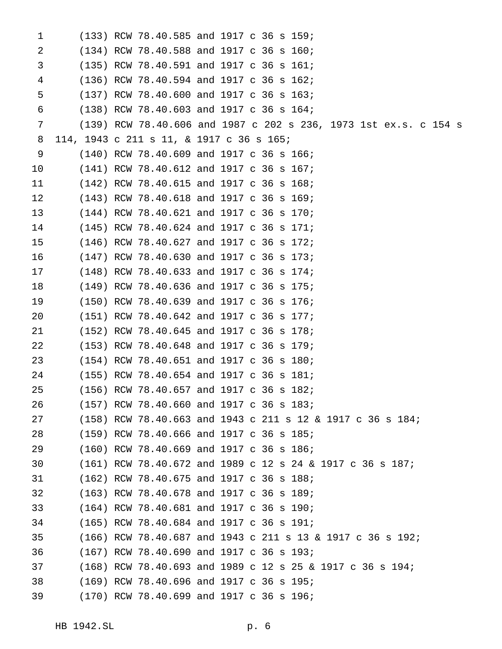| 1  |  | (133) RCW 78.40.585 and 1917 c 36 s 159;                         |  |
|----|--|------------------------------------------------------------------|--|
| 2  |  | (134) RCW 78.40.588 and 1917 c 36 s 160;                         |  |
| 3  |  | (135) RCW 78.40.591 and 1917 c 36 s 161;                         |  |
| 4  |  | (136) RCW 78.40.594 and 1917 c 36 s 162;                         |  |
| 5  |  | (137) RCW 78.40.600 and 1917 c 36 s 163;                         |  |
| 6  |  | (138) RCW 78.40.603 and 1917 c 36 s 164;                         |  |
| 7  |  | (139) RCW 78.40.606 and 1987 c 202 s 236, 1973 1st ex.s. c 154 s |  |
| 8  |  | 114, 1943 c 211 s 11, & 1917 c 36 s 165;                         |  |
| 9  |  | (140) RCW 78.40.609 and 1917 c 36 s 166;                         |  |
| 10 |  | (141) RCW 78.40.612 and 1917 c 36 s 167;                         |  |
| 11 |  | (142) RCW 78.40.615 and 1917 c 36 s 168;                         |  |
| 12 |  | (143) RCW 78.40.618 and 1917 c 36 s 169;                         |  |
| 13 |  | (144) RCW 78.40.621 and 1917 c 36 s 170;                         |  |
| 14 |  | (145) RCW 78.40.624 and 1917 c 36 s 171;                         |  |
| 15 |  | (146) RCW 78.40.627 and 1917 c 36 s 172;                         |  |
| 16 |  | (147) RCW 78.40.630 and 1917 c 36 s 173;                         |  |
| 17 |  | $(148)$ RCW 78.40.633 and 1917 c 36 s 174;                       |  |
| 18 |  | (149) RCW 78.40.636 and 1917 c 36 s 175;                         |  |
| 19 |  | (150) RCW 78.40.639 and 1917 c 36 s 176;                         |  |
| 20 |  | (151) RCW 78.40.642 and 1917 c 36 s 177;                         |  |
| 21 |  | (152) RCW 78.40.645 and 1917 c 36 s 178;                         |  |
| 22 |  | (153) RCW 78.40.648 and 1917 c 36 s 179;                         |  |
| 23 |  | (154) RCW 78.40.651 and 1917 c 36 s 180;                         |  |
| 24 |  | (155) RCW 78.40.654 and 1917 c 36 s 181;                         |  |
| 25 |  | (156) RCW 78.40.657 and 1917 c 36 s 182;                         |  |
| 26 |  | $(157)$ RCW 78.40.660 and 1917 c 36 s 183;                       |  |
| 27 |  | (158) RCW 78.40.663 and 1943 c 211 s 12 & 1917 c 36 s 184;       |  |
| 28 |  | (159) RCW 78.40.666 and 1917 c 36 s 185;                         |  |
| 29 |  | (160) RCW 78.40.669 and 1917 c 36 s 186;                         |  |
| 30 |  | $(161)$ RCW 78.40.672 and 1989 c 12 s 24 & 1917 c 36 s 187;      |  |
| 31 |  | (162) RCW 78.40.675 and 1917 c 36 s 188;                         |  |
| 32 |  | (163) RCW 78.40.678 and 1917 c 36 s 189;                         |  |
| 33 |  | (164) RCW 78.40.681 and 1917 c 36 s 190;                         |  |
| 34 |  | (165) RCW 78.40.684 and 1917 c 36 s 191;                         |  |
| 35 |  | $(166)$ RCW 78.40.687 and 1943 c 211 s 13 & 1917 c 36 s 192;     |  |
| 36 |  | (167) RCW 78.40.690 and 1917 c 36 s 193;                         |  |
| 37 |  | $(168)$ RCW 78.40.693 and 1989 c 12 s 25 & 1917 c 36 s 194;      |  |
| 38 |  | (169) RCW 78.40.696 and 1917 c 36 s 195;                         |  |
| 39 |  | (170) RCW 78.40.699 and 1917 c 36 s 196;                         |  |